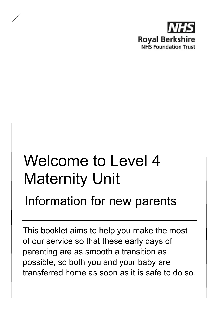

# Welcome to Level 4 Maternity Unit

# Information for new parents

This booklet aims to help you make the most of our service so that these early days of parenting are as smooth a transition as possible, so both you and your baby are transferred home as soon as it is safe to do so.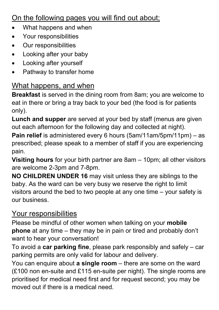### On the following pages you will find out about;

- What happens and when
- Your responsibilities
- Our responsibilities
- Looking after your baby
- Looking after yourself
- Pathway to transfer home

#### What happens, and when

**Breakfast** is served in the dining room from 8am; you are welcome to eat in there or bring a tray back to your bed (the food is for patients only).

**Lunch and supper** are served at your bed by staff (menus are given out each afternoon for the following day and collected at night).

**Pain relief** is administered every 6 hours (5am/11am/5pm/11pm) – as prescribed; please speak to a member of staff if you are experiencing pain.

**Visiting hours** for your birth partner are 8am – 10pm; all other visitors are welcome 2-3pm and 7-8pm.

**NO CHILDREN UNDER 16** may visit unless they are siblings to the baby. As the ward can be very busy we reserve the right to limit visitors around the bed to two people at any one time – your safety is our business.

#### Your responsibilities

Please be mindful of other women when talking on your **mobile phone** at any time – they may be in pain or tired and probably don't want to hear your conversation!

To avoid a **car parking fine**, please park responsibly and safely – car parking permits are only valid for labour and delivery.

You can enquire about **a single room** – there are some on the ward (£100 non en-suite and £115 en-suite per night). The single rooms are prioritised for medical need first and for request second; you may be moved out if there is a medical need.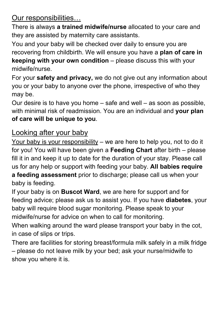Our responsibilities…

There is always **a trained midwife/nurse** allocated to your care and they are assisted by maternity care assistants.

You and your baby will be checked over daily to ensure you are recovering from childbirth. We will ensure you have a **plan of care in keeping with your own condition** – please discuss this with your midwife/nurse.

For your **safety and privacy,** we do not give out any information about you or your baby to anyone over the phone, irrespective of who they may be.

Our desire is to have you home – safe and well – as soon as possible, with minimal risk of readmission. You are an individual and **your plan of care will be unique to you**.

#### Looking after your baby

Your baby is your responsibility – we are here to help you, not to do it for you! You will have been given a **Feeding Chart** after birth – please fill it in and keep it up to date for the duration of your stay. Please call us for any help or support with feeding your baby. **All babies require a feeding assessment** prior to discharge; please call us when your baby is feeding.

If your baby is on **Buscot Ward**, we are here for support and for feeding advice; please ask us to assist you. If you have **diabetes**, your baby will require blood sugar monitoring. Please speak to your midwife/nurse for advice on when to call for monitoring.

When walking around the ward please transport your baby in the cot, in case of slips or trips.

There are facilities for storing breast/formula milk safely in a milk fridge – please do not leave milk by your bed; ask your nurse/midwife to show you where it is.